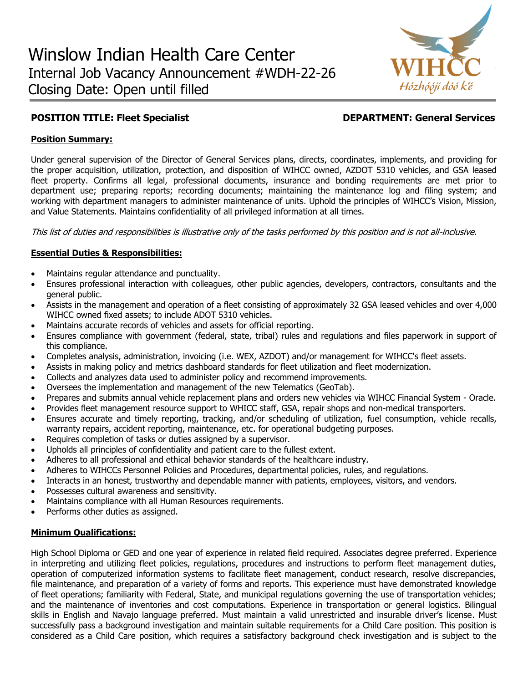

# **POSITION TITLE: Fleet Specialist DEPARTMENT: General Services**

# **Position Summary:**

Under general supervision of the Director of General Services plans, directs, coordinates, implements, and providing for the proper acquisition, utilization, protection, and disposition of WIHCC owned, AZDOT 5310 vehicles, and GSA leased fleet property. Confirms all legal, professional documents, insurance and bonding requirements are met prior to department use; preparing reports; recording documents; maintaining the maintenance log and filing system; and working with department managers to administer maintenance of units. Uphold the principles of WIHCC's Vision, Mission, and Value Statements. Maintains confidentiality of all privileged information at all times.

This list of duties and responsibilities is illustrative only of the tasks performed by this position and is not all-inclusive.

# **Essential Duties & Responsibilities:**

- Maintains regular attendance and punctuality.
- Ensures professional interaction with colleagues, other public agencies, developers, contractors, consultants and the general public.
- Assists in the management and operation of a fleet consisting of approximately 32 GSA leased vehicles and over 4,000 WIHCC owned fixed assets; to include ADOT 5310 vehicles.
- Maintains accurate records of vehicles and assets for official reporting.
- Ensures compliance with government (federal, state, tribal) rules and regulations and files paperwork in support of this compliance.
- Completes analysis, administration, invoicing (i.e. WEX, AZDOT) and/or management for WIHCC's fleet assets.
- Assists in making policy and metrics dashboard standards for fleet utilization and fleet modernization.
- Collects and analyzes data used to administer policy and recommend improvements.
- Oversees the implementation and management of the new Telematics (GeoTab).
- Prepares and submits annual vehicle replacement plans and orders new vehicles via WIHCC Financial System Oracle.
- Provides fleet management resource support to WHICC staff, GSA, repair shops and non-medical transporters.
- Ensures accurate and timely reporting, tracking, and/or scheduling of utilization, fuel consumption, vehicle recalls, warranty repairs, accident reporting, maintenance, etc. for operational budgeting purposes.
- Requires completion of tasks or duties assigned by a supervisor.
- Upholds all principles of confidentiality and patient care to the fullest extent.
- Adheres to all professional and ethical behavior standards of the healthcare industry.
- Adheres to WIHCCs Personnel Policies and Procedures, departmental policies, rules, and regulations.
- Interacts in an honest, trustworthy and dependable manner with patients, employees, visitors, and vendors.
- Possesses cultural awareness and sensitivity.
- Maintains compliance with all Human Resources requirements.
- Performs other duties as assigned.

### **Minimum Qualifications:**

High School Diploma or GED and one year of experience in related field required. Associates degree preferred. Experience in interpreting and utilizing fleet policies, regulations, procedures and instructions to perform fleet management duties, operation of computerized information systems to facilitate fleet management, conduct research, resolve discrepancies, file maintenance, and preparation of a variety of forms and reports. This experience must have demonstrated knowledge of fleet operations; familiarity with Federal, State, and municipal regulations governing the use of transportation vehicles; and the maintenance of inventories and cost computations. Experience in transportation or general logistics. Bilingual skills in English and Navajo language preferred. Must maintain a valid unrestricted and insurable driver's license. Must successfully pass a background investigation and maintain suitable requirements for a Child Care position. This position is considered as a Child Care position, which requires a satisfactory background check investigation and is subject to the